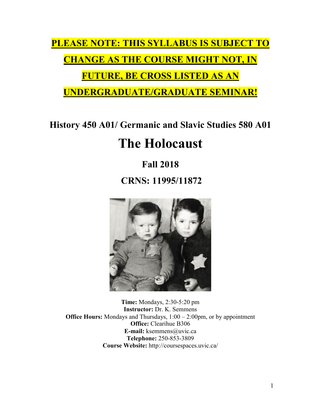**PLEASE NOTE: THIS SYLLABUS IS SUBJECT TO CHANGE AS THE COURSE MIGHT NOT, IN FUTURE, BE CROSS LISTED AS AN** 

**UNDERGRADUATE/GRADUATE SEMINAR!**

**History 450 A01/ Germanic and Slavic Studies 580 A01**

# **The Holocaust**

## **Fall 2018**

**CRNS: 11995/11872**



**Time:** Mondays, 2:30-5:20 pm **Instructor:** Dr. K. Semmens **Office Hours:** Mondays and Thursdays,  $1:00 - 2:00$ pm, or by appointment **Office:** Clearihue B306 **E-mail:** ksemmens@uvic.ca **Telephone:** 250-853-3809 **Course Website:** http://coursespaces.uvic.ca/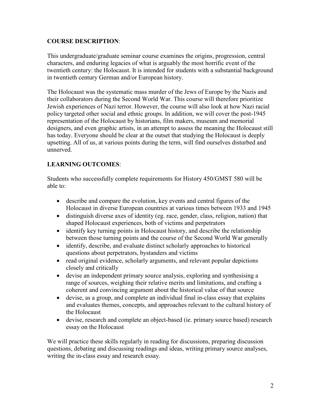## **COURSE DESCRIPTION**:

This undergraduate/graduate seminar course examines the origins, progression, central characters, and enduring legacies of what is arguably the most horrific event of the twentieth century: the Holocaust. It is intended for students with a substantial background in twentieth century German and/or European history.

The Holocaust was the systematic mass murder of the Jews of Europe by the Nazis and their collaborators during the Second World War. This course will therefore prioritize Jewish experiences of Nazi terror. However, the course will also look at how Nazi racial policy targeted other social and ethnic groups. In addition, we will cover the post-1945 representation of the Holocaust by historians, film makers, museum and memorial designers, and even graphic artists, in an attempt to assess the meaning the Holocaust still has today. Everyone should be clear at the outset that studying the Holocaust is deeply upsetting. All of us, at various points during the term, will find ourselves disturbed and unnerved.

## **LEARNING OUTCOMES**:

Students who successfully complete requirements for History 450/GMST 580 will be able to:

- describe and compare the evolution, key events and central figures of the Holocaust in diverse European countries at various times between 1933 and 1945
- distinguish diverse axes of identity (eg. race, gender, class, religion, nation) that shaped Holocaust experiences, both of victims and perpetrators
- identify key turning points in Holocaust history, and describe the relationship between those turning points and the course of the Second World War generally
- identify, describe, and evaluate distinct scholarly approaches to historical questions about perpetrators, bystanders and victims
- read original evidence, scholarly arguments, and relevant popular depictions closely and critically
- devise an independent primary source analysis, exploring and synthesising a range of sources, weighing their relative merits and limitations, and crafting a coherent and convincing argument about the historical value of that source
- devise, as a group, and complete an individual final in-class essay that explains and evaluates themes, concepts, and approaches relevant to the cultural history of the Holocaust
- devise, research and complete an object-based (ie. primary source based) research essay on the Holocaust

We will practice these skills regularly in reading for discussions, preparing discussion questions, debating and discussing readings and ideas, writing primary source analyses, writing the in-class essay and research essay.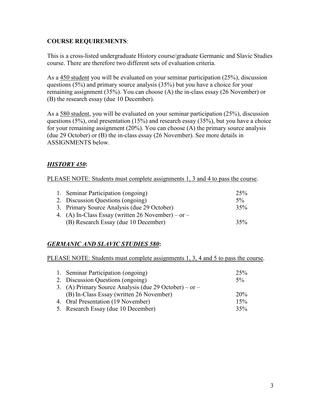## **COURSE REQUIREMENTS**:

This is a cross-listed undergraduate History course/graduate Germanic and Slavic Studies course. There are therefore two different sets of evaluation criteria.

As a 450 student you will be evaluated on your seminar participation (25%), discussion questions (5%) and primary source analysis (35%) but you have a choice for your remaining assignment (35%). You can choose (A) the in-class essay (26 November) or (B) the research essay (due 10 December).

As a 580 student, you will be evaluated on your seminar participation (25%), discussion questions (5%), oral presentation (15%) and research essay (35%), but you have a choice for your remaining assignment (20%). You can choose (A) the primary source analysis (due 29 October) or (B) the in-class essay (26 November). See more details in ASSIGNMENTS below.

## *HISTORY 450***:**

PLEASE NOTE: Students must complete assignments 1, 3 and 4 to pass the course.

| 1. Seminar Participation (ongoing)                 | 25%   |
|----------------------------------------------------|-------|
| 2. Discussion Questions (ongoing)                  | $5\%$ |
| 3. Primary Source Analysis (due 29 October)        | 35%   |
| 4. (A) In-Class Essay (written 26 November) – or – |       |
| (B) Research Essay (due 10 December)               | 35%   |

## *GERMANIC AND SLAVIC STUDIES 580***:**

PLEASE NOTE: Students must complete assignments 1, 3, 4 and 5 to pass the course.

| 1. Seminar Participation (ongoing)                     | 25%        |
|--------------------------------------------------------|------------|
| 2. Discussion Questions (ongoing)                      | $5\%$      |
| 3. (A) Primary Source Analysis (due 29 October) – or – |            |
| (B) In-Class Essay (written 26 November)               | <b>20%</b> |
| 4. Oral Presentation (19 November)                     | 15%        |
| 5. Research Essay (due 10 December)                    | 35%        |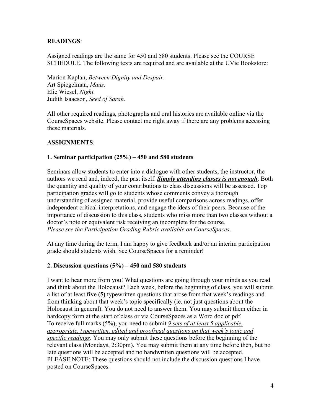## **READINGS**:

Assigned readings are the same for 450 and 580 students. Please see the COURSE SCHEDULE. The following texts are required and are available at the UVic Bookstore:

Marion Kaplan, *Between Dignity and Despair*. Art Spiegelman, *Maus.* Elie Wiesel, *Night.* Judith Isaacson, *Seed of Sarah.*

All other required readings, photographs and oral histories are available online via the CourseSpaces website. Please contact me right away if there are any problems accessing these materials.

#### **ASSIGNMENTS**:

#### **1. Seminar participation (25%) – 450 and 580 students**

Seminars allow students to enter into a dialogue with other students, the instructor, the authors we read and, indeed, the past itself. *Simply attending classes is not enough*. Both the quantity and quality of your contributions to class discussions will be assessed. Top participation grades will go to students whose comments convey a thorough understanding of assigned material, provide useful comparisons across readings, offer independent critical interpretations, and engage the ideas of their peers. Because of the importance of discussion to this class, students who miss more than two classes without a doctor's note or equivalent risk receiving an incomplete for the course. *Please see the Participation Grading Rubric available on CourseSpaces*.

At any time during the term, I am happy to give feedback and/or an interim participation grade should students wish. See CourseSpaces for a reminder!

#### **2. Discussion questions (5%) – 450 and 580 students**

I want to hear more from you! What questions are going through your minds as you read and think about the Holocaust? Each week, before the beginning of class, you will submit a list of at least **five (5)** typewritten questions that arose from that week's readings and from thinking about that week's topic specifically (ie. not just questions about the Holocaust in general). You do not need to answer them. You may submit them either in hardcopy form at the start of class or via CourseSpaces as a Word doc or pdf. To receive full marks (5%), you need to submit *9 sets of at least 5 applicable, appropriate, typewritten, edited and proofread questions on that week's topic and specific readings*. You may only submit these questions before the beginning of the relevant class (Mondays, 2:30pm). You may submit them at any time before then, but no late questions will be accepted and no handwritten questions will be accepted. PLEASE NOTE: These questions should not include the discussion questions I have posted on CourseSpaces.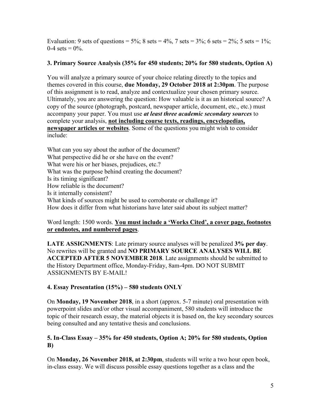Evaluation: 9 sets of questions =  $5\%$ : 8 sets =  $4\%$ , 7 sets =  $3\%$ : 6 sets =  $2\%$ : 5 sets =  $1\%$ :  $0-4 \text{ sets} = 0\%$ .

## **3. Primary Source Analysis (35% for 450 students; 20% for 580 students, Option A)**

You will analyze a primary source of your choice relating directly to the topics and themes covered in this course, **due Monday, 29 October 2018 at 2:30pm**. The purpose of this assignment is to read, analyze and contextualize your chosen primary source. Ultimately, you are answering the question: How valuable is it as an historical source? A copy of the source (photograph, postcard, newspaper article, document, etc., etc.) must accompany your paper. You must use *at least three academic secondary sources* to complete your analysis, **not including course texts, readings, encyclopedias, newspaper articles or websites**. Some of the questions you might wish to consider include:

What can you say about the author of the document? What perspective did he or she have on the event? What were his or her biases, prejudices, etc.? What was the purpose behind creating the document? Is its timing significant? How reliable is the document? Is it internally consistent? What kinds of sources might be used to corroborate or challenge it? How does it differ from what historians have later said about its subject matter?

## Word length: 1500 words. **You must include a 'Works Cited', a cover page, footnotes or endnotes, and numbered pages**.

**LATE ASSIGNMENTS**: Late primary source analyses will be penalized **3% per day**. No rewrites will be granted and **NO PRIMARY SOURCE ANALYSES WILL BE ACCEPTED AFTER 5 NOVEMBER 2018**. Late assignments should be submitted to the History Department office, Monday-Friday, 8am-4pm. DO NOT SUBMIT ASSIGNMENTS BY E-MAIL!

## **4. Essay Presentation (15%) – 580 students ONLY**

On **Monday, 19 November 2018**, in a short (approx. 5-7 minute) oral presentation with powerpoint slides and/or other visual accompaniment, 580 students will introduce the topic of their research essay, the material objects it is based on, the key secondary sources being consulted and any tentative thesis and conclusions.

## **5. In-Class Essay – 35% for 450 students, Option A; 20% for 580 students, Option B)**

On **Monday, 26 November 2018, at 2:30pm**, students will write a two hour open book, in-class essay. We will discuss possible essay questions together as a class and the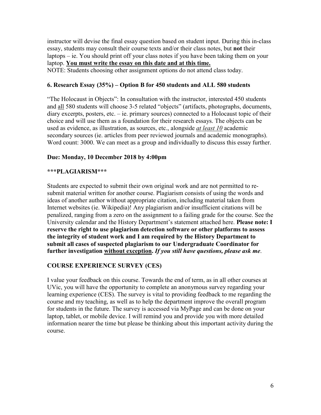instructor will devise the final essay question based on student input. During this in-class essay, students may consult their course texts and/or their class notes, but **not** their laptops – ie. You should print off your class notes if you have been taking them on your laptop. **You must write the essay on this date and at this time.** NOTE: Students choosing other assignment options do not attend class today.

## **6. Research Essay (35%) – Option B for 450 students and ALL 580 students**

"The Holocaust in Objects": In consultation with the instructor, interested 450 students and all 580 students will choose 3-5 related "objects" (artifacts, photographs, documents, diary excerpts, posters, etc. – ie. primary sources) connected to a Holocaust topic of their choice and will use them as a foundation for their research essays. The objects can be used as evidence, as illustration, as sources, etc., alongside *at least 10* academic secondary sources (ie. articles from peer reviewed journals and academic monographs). Word count: 3000. We can meet as a group and individually to discuss this essay further.

#### **Due: Monday, 10 December 2018 by 4:00pm**

#### **\*\*\*PLAGIARISM\*\*\***

Students are expected to submit their own original work and are not permitted to resubmit material written for another course. Plagiarism consists of using the words and ideas of another author without appropriate citation, including material taken from Internet websites (ie. Wikipedia)! Any plagiarism and/or insufficient citations will be penalized, ranging from a zero on the assignment to a failing grade for the course. See the University calendar and the History Department's statement attached here. **Please note: I reserve the right to use plagiarism detection software or other platforms to assess the integrity of student work and I am required by the History Department to submit all cases of suspected plagiarism to our Undergraduate Coordinator for further investigation without exception.** *If you still have questions, please ask me*.

## **COURSE EXPERIENCE SURVEY (CES)**

I value your feedback on this course. Towards the end of term, as in all other courses at UVic, you will have the opportunity to complete an anonymous survey regarding your learning experience (CES). The survey is vital to providing feedback to me regarding the course and my teaching, as well as to help the department improve the overall program for students in the future. The survey is accessed via MyPage and can be done on your laptop, tablet, or mobile device. I will remind you and provide you with more detailed information nearer the time but please be thinking about this important activity during the course.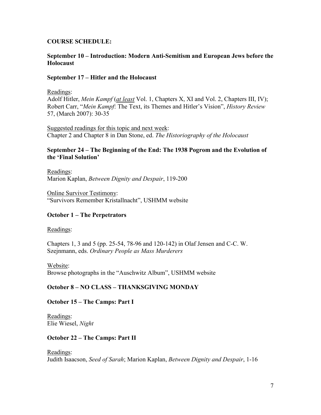#### **COURSE SCHEDULE:**

#### **September 10 – Introduction: Modern Anti-Semitism and European Jews before the Holocaust**

#### **September 17 – Hitler and the Holocaust**

#### Readings:

Adolf Hitler, *Mein Kampf* (*at least* Vol. 1, Chapters X, XI and Vol. 2, Chapters III, IV); Robert Carr, "*Mein Kampf*: The Text, its Themes and Hitler's Vision", *History Review* 57, (March 2007): 30-35

Suggested readings for this topic and next week: Chapter 2 and Chapter 8 in Dan Stone, ed. *The Historiography of the Holocaust*

#### **September 24 – The Beginning of the End: The 1938 Pogrom and the Evolution of the 'Final Solution'**

Readings: Marion Kaplan, *Between Dignity and Despair*, 119-200

Online Survivor Testimony: "Survivors Remember Kristallnacht", USHMM website

## **October 1 – The Perpetrators**

#### Readings:

Chapters 1, 3 and 5 (pp. 25-54, 78-96 and 120-142) in Olaf Jensen and C-C. W. Szejnmann, eds. *Ordinary People as Mass Murderers*

Website: Browse photographs in the "Auschwitz Album", USHMM website

## **October 8 – NO CLASS – THANKSGIVING MONDAY**

## **October 15 – The Camps: Part I**

Readings: Elie Wiesel, *Night*

#### **October 22 – The Camps: Part II**

#### Readings:

Judith Isaacson, *Seed of Sarah*; Marion Kaplan, *Between Dignity and Despair*, 1-16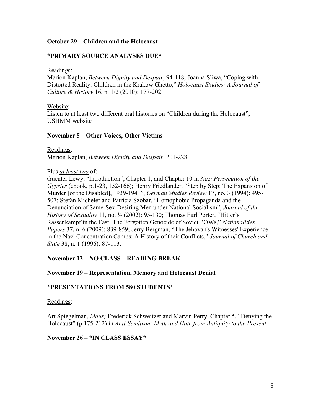#### **October 29 – Children and the Holocaust**

#### **\*PRIMARY SOURCE ANALYSES DUE\***

Readings:

Marion Kaplan, *Between Dignity and Despair*, 94-118; Joanna Sliwa, "Coping with Distorted Reality: Children in the Krakow Ghetto," *Holocaust Studies: A Journal of Culture & History* 16, n. 1/2 (2010): 177-202.

Website:

Listen to at least two different oral histories on "Children during the Holocaust", USHMM website

#### **November 5 – Other Voices, Other Victims**

Readings: Marion Kaplan, *Between Dignity and Despair*, 201-228

#### Plus *at least two* of:

Guenter Lewy, "Introduction", Chapter 1, and Chapter 10 in *Nazi Persecution of the Gypsies* (ebook, p.1-23, 152-166); Henry Friedlander, "Step by Step: The Expansion of Murder [of the Disabled], 1939-1941", *German Studies Review* 17, no. 3 (1994): 495- 507; Stefan Micheler and Patricia Szobar, "Homophobic Propaganda and the Denunciation of Same-Sex-Desiring Men under National Socialism", *Journal of the History of Sexuality* 11, no. ½ (2002): 95-130; Thomas Earl Porter, "Hitler's Rassenkampf in the East: The Forgotten Genocide of Soviet POWs," *Nationalities Papers* 37, n. 6 (2009): 839-859; Jerry Bergman, "The Jehovah's Witnesses' Experience in the Nazi Concentration Camps: A History of their Conflicts," *Journal of Church and State* 38, n. 1 (1996): 87-113.

#### **November 12 – NO CLASS – READING BREAK**

#### **November 19 – Representation, Memory and Holocaust Denial**

#### **\*PRESENTATIONS FROM 580 STUDENTS\***

Readings:

Art Spiegelman, *Maus;* Frederick Schweitzer and Marvin Perry, Chapter 5, "Denying the Holocaust" (p.175-212) in *Anti-Semitism: Myth and Hate from Antiquity to the Present*

#### **November 26 – \*IN CLASS ESSAY\***